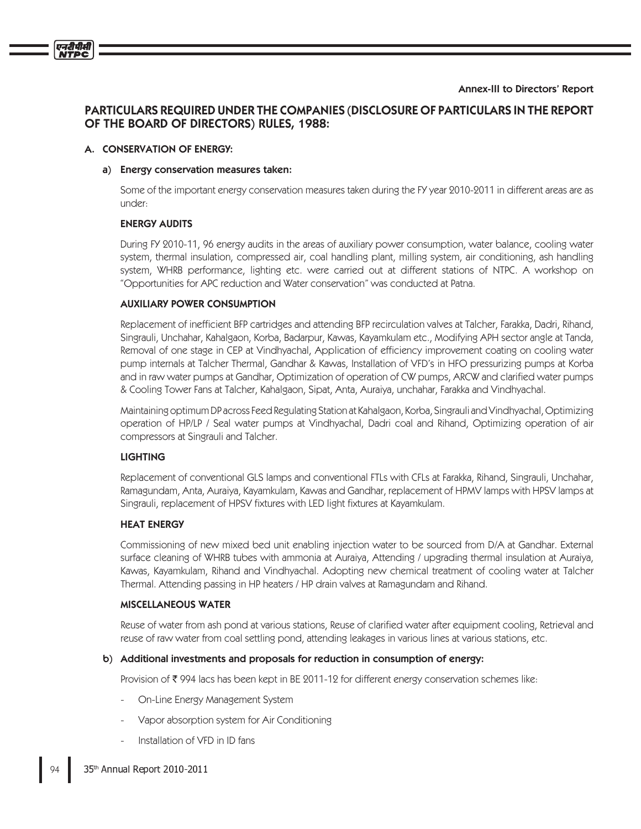# **PARTICULARS REQUIRED UNDER THE COMPANIES (DISCLOSURE OF PARTICULARS IN THE REPORT** OF THE BOARD OF DIRECTORS) RULES, 1988:

#### A. CONSERVATION OF ENERGY:

एनदीपीसी

#### a) Energy conservation measures taken:

Some of the important energy conservation measures taken during the FY year 2010-2011 in different areas are as under:

#### **ENERGY AUDITS**

During FY 2010-11, 96 energy audits in the areas of auxiliary power consumption, water balance, cooling water system, thermal insulation, compressed air, coal handling plant, milling system, air conditioning, ash handling system, WHRB performance, lighting etc. were carried out at different stations of NTPC. A workshop on "Opportunities for APC reduction and Water conservation" was conducted at Patna.

#### **AUXILIARY POWER CONSUMPTION**

Replacement of inefficient BFP cartridges and attending BFP recirculation valves at Talcher, Farakka, Dadri, Rihand, Singrauli, Unchahar, Kahalgaon, Korba, Badarpur, Kawas, Kayamkulam etc., Modifying APH sector angle at Tanda, Removal of one stage in CEP at Vindhyachal, Application of efficiency improvement coating on cooling water pump internals at Talcher Thermal, Gandhar & Kawas, Installation of VFD's in HFO pressurizing pumps at Korba and in raw water pumps at Gandhar, Optimization of operation of CW pumps, ARCW and clarified water pumps & Cooling Tower Fans at Talcher, Kahalgaon, Sipat, Anta, Auraiya, unchahar, Farakka and Vindhyachal.

Maintaining optimum DP across Feed Regulating Station at Kahalgaon, Korba, Singrauli and Vindhyachal, Optimizing operation of HP/LP / Seal water pumps at Vindhyachal, Dadri coal and Rihand, Optimizing operation of air compressors at Singrauli and Talcher.

#### **LIGHTING**

Replacement of conventional GLS lamps and conventional FTLs with CFLs at Farakka, Rihand, Singrauli, Unchahar, Ramagundam, Anta, Auraiya, Kayamkulam, Kawas and Gandhar, replacement of HPMV lamps with HPSV lamps at Singrauli, replacement of HPSV fixtures with LED light fixtures at Kayamkulam.

#### **HEAT ENERGY**

Commissioning of new mixed bed unit enabling injection water to be sourced from D/A at Gandhar. External surface cleaning of WHRB tubes with ammonia at Auraiya, Attending / upgrading thermal insulation at Auraiya, Kawas, Kayamkulam, Rihand and Vindhyachal. Adopting new chemical treatment of cooling water at Talcher Thermal. Attending passing in HP heaters / HP drain valves at Ramagundam and Rihand.

#### **MISCELLANEOUS WATER**

Reuse of water from ash pond at various stations, Reuse of clarified water after equipment cooling, Retrieval and reuse of raw water from coal settling pond, attending leakages in various lines at various stations, etc.

#### b) Additional investments and proposals for reduction in consumption of energy:

Provision of ₹ 994 lacs has been kept in BE 2011-12 for different energy conservation schemes like:

- On-Line Energy Management System
- Vapor absorption system for Air Conditioning
- Installation of VFD in ID fans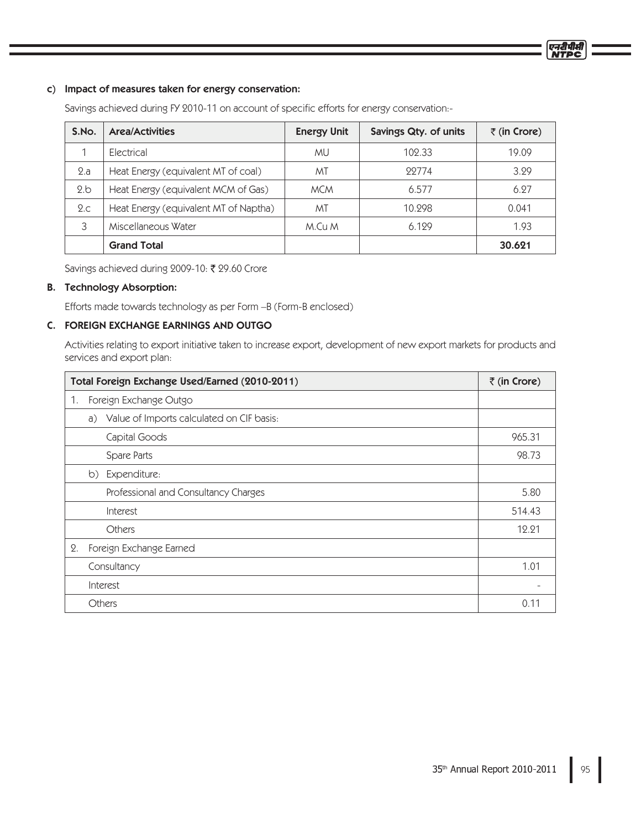### c) Impact of measures taken for energy conservation:

Savings achieved during FY 2010-11 on account of specific efforts for energy conservation:-

| S.No. | <b>Area/Activities</b>                | <b>Energy Unit</b> | Savings Qty. of units | $\bar{z}$ (in Crore) |
|-------|---------------------------------------|--------------------|-----------------------|----------------------|
|       | <b>Flectrical</b>                     | МU                 | 102.33                | 19.09                |
| 2.a   | Heat Energy (equivalent MT of coal)   | МT                 | 99774                 | 3.29                 |
| 2.b   | Heat Energy (equivalent MCM of Gas)   | <b>MCM</b>         | 6.577                 | 6.27                 |
| 2.c   | Heat Energy (equivalent MT of Naptha) | ΜT                 | 10.298                | 0.041                |
| 3     | Miscellaneous Water                   | M.Cu M             | 6.129                 | 1.93                 |
|       | <b>Grand Total</b>                    |                    |                       | 30.621               |

Savings achieved during 2009-10: ₹ 29.60 Crore

# B. Technology Absorption:

Efforts made towards technology as per Form –B (Form-B enclosed)

# C. FOREIGN EXCHANGE EARNINGS AND OUTGO

Activities relating to export initiative taken to increase export, development of new export markets for products and services and export plan:

| Total Foreign Exchange Used/Earned (2010-2011)  | ₹ (in Crore) |
|-------------------------------------------------|--------------|
| Foreign Exchange Outgo<br>1.                    |              |
| Value of Imports calculated on CIF basis:<br>a) |              |
| Capital Goods                                   | 965.31       |
| Spare Parts                                     | 98.73        |
| b) Expenditure:                                 |              |
| Professional and Consultancy Charges            | 5.80         |
| Interest                                        | 514.43       |
| Others                                          | 12.21        |
| Foreign Exchange Earned<br>2.                   |              |
| Consultancy                                     | 1.01         |
| Interest                                        |              |
| <b>Others</b>                                   | 0.1          |

एनरीपीक्ष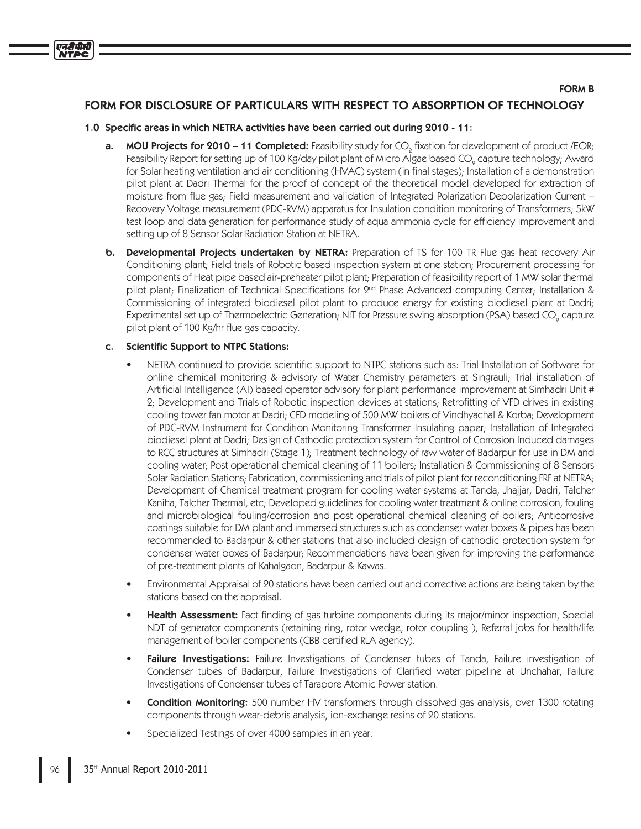### **FORM B**

# FORM FOR DISCLOSURE OF PARTICULARS WITH RESPECT TO ABSORPTION OF TECHNOLOGY

#### 1.0 Specific areas in which NETRA activities have been carried out during 2010 - 11:

- **MOU Projects for 2010 11 Completed:** Feasibility study for  $CO<sub>o</sub>$  fixation for development of product /EOR; a. Feasibility Report for setting up of 100 Kg/day pilot plant of Micro Algae based CO<sub>o</sub> capture technology; Award for Solar heating ventilation and air conditioning (HVAC) system (in final stages); Installation of a demonstration pilot plant at Dadri Thermal for the proof of concept of the theoretical model developed for extraction of moisture from flue gas; Field measurement and validation of Integrated Polarization Depolarization Current – Recovery Voltage measurement (PDC-RVM) apparatus for Insulation condition monitoring of Transformers; 5kW test loop and data generation for performance study of aqua ammonia cycle for efficiency improvement and setting up of 8 Sensor Solar Radiation Station at NETRA.
- Developmental Projects undertaken by NETRA: Preparation of TS for 100 TR Flue gas heat recovery Air b. Conditioning plant; Field trials of Robotic based inspection system at one station; Procurement processing for components of Heat pipe based air-preheater pilot plant; Preparation of feasibility report of 1 MW solar thermal pilot plant; Finalization of Technical Specifications for 2<sup>nd</sup> Phase Advanced computing Center; Installation & Commissioning of integrated biodiesel pilot plant to produce energy for existing biodiesel plant at Dadri; Experimental set up of Thermoelectric Generation; NIT for Pressure swing absorption (PSA) based CO<sub>o</sub> capture pilot plant of 100 Kg/hr flue gas capacity.

#### **Scientific Support to NTPC Stations:** C.

एनटीपीसी

- NETRA continued to provide scientific support to NTPC stations such as: Trial Installation of Software for online chemical monitoring & advisory of Water Chemistry parameters at Singrauli; Trial installation of Artificial Intelligence (AI) based operator advisory for plant performance improvement at Simhadri Unit # 2; Development and Trials of Robotic inspection devices at stations; Retrofitting of VFD drives in existing cooling tower fan motor at Dadri; CFD modeling of 500 MW boilers of Vindhyachal & Korba; Development of PDC-RVM Instrument for Condition Monitoring Transformer Insulating paper; Installation of Integrated biodiesel plant at Dadri; Design of Cathodic protection system for Control of Corrosion Induced damages to RCC structures at Simhadri (Stage 1); Treatment technology of raw water of Badarpur for use in DM and cooling water; Post operational chemical cleaning of 11 boilers; Installation & Commissioning of 8 Sensors Solar Radiation Stations; Fabrication, commissioning and trials of pilot plant for reconditioning FRF at NETRA; Development of Chemical treatment program for cooling water systems at Tanda, Jhajjar, Dadri, Talcher Kaniha, Talcher Thermal, etc; Developed guidelines for cooling water treatment & online corrosion, fouling and microbiological fouling/corrosion and post operational chemical cleaning of boilers; Anticorrosive coatings suitable for DM plant and immersed structures such as condenser water boxes & pipes has been recommended to Badarpur & other stations that also included design of cathodic protection system for condenser water boxes of Badarpur; Recommendations have been given for improving the performance of pre-treatment plants of Kahalgaon, Badarpur & Kawas.
- Environmental Appraisal of 20 stations have been carried out and corrective actions are being taken by the stations based on the appraisal.
- Health Assessment: Fact finding of gas turbine components during its major/minor inspection, Special NDT of generator components (retaining ring, rotor wedge, rotor coupling), Referral jobs for health/life management of boiler components (CBB certified RLA agency).
- **Failure Investigations:** Failure Investigations of Condenser tubes of Tanda, Failure investigation of Condenser tubes of Badarpur, Failure Investigations of Clarified water pipeline at Unchahar, Failure Investigations of Condenser tubes of Tarapore Atomic Power station.
- **Condition Monitoring:** 500 number HV transformers through dissolved gas analysis, over 1300 rotating components through wear-debris analysis, ion-exchange resins of 20 stations.
- Specialized Testings of over 4000 samples in an year.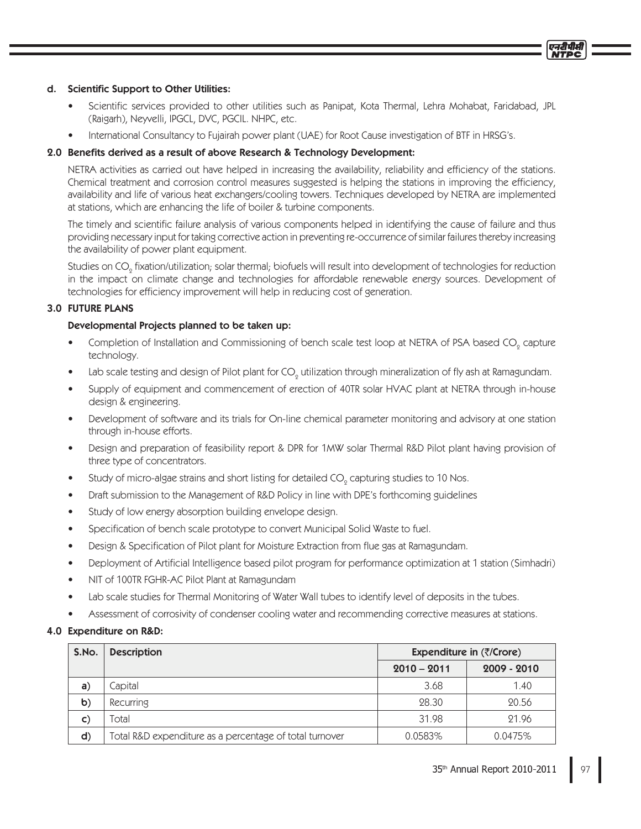#### d. Scientific Support to Other Utilities:

- Scientific services provided to other utilities such as Panipat, Kota Thermal, Lehra Mohabat, Faridabad, JPL (Raigarh), Neyvelli, IPGCL, DVC, PGCIL. NHPC, etc.
- International Consultancy to Fujairah power plant (UAE) for Root Cause investigation of BTF in HRSG's.

## 2.0 Benefits derived as a result of above Research & Technology Development:

NETRA activities as carried out have helped in increasing the availability, reliability and efficiency of the stations. Chemical treatment and corrosion control measures suggested is helping the stations in improving the efficiency, availability and life of various heat exchangers/cooling towers. Techniques developed by NETRA are implemented at stations, which are enhancing the life of boiler & turbine components.

The timely and scientific failure analysis of various components helped in identifying the cause of failure and thus providing necessary input for taking corrective action in preventing re-occurrence of similar failures thereby increasing the availability of power plant equipment.

Studies on CO<sub>n</sub> fixation/utilization; solar thermal; biofuels will result into development of technologies for reduction in the impact on climate change and technologies for affordable renewable energy sources. Development of technologies for efficiency improvement will help in reducing cost of generation.

## **3.0 FUTURE PLANS**

## Developmental Projects planned to be taken up:

- Completion of Installation and Commissioning of bench scale test loop at NETRA of PSA based CO<sub>0</sub> capture technology.
- Lab scale testing and design of Pilot plant for CO<sub>o</sub> utilization through mineralization of fly ash at Ramagundam.
- Supply of equipment and commencement of erection of 40TR solar HVAC plant at NETRA through in-house design & engineering.
- Development of software and its trials for On-line chemical parameter monitoring and advisory at one station through in-house efforts.
- Design and preparation of feasibility report & DPR for 1MW solar Thermal R&D Pilot plant having provision of three type of concentrators.
- Study of micro-algae strains and short listing for detailed CO<sub>0</sub> capturing studies to 10 Nos.
- Draft submission to the Management of R&D Policy in line with DPE's forthcoming guidelines
- Study of low energy absorption building envelope design.
- Specification of bench scale prototype to convert Municipal Solid Waste to fuel.  $\bullet$
- Design & Specification of Pilot plant for Moisture Extraction from flue gas at Ramagundam.  $\blacksquare$
- Deployment of Artificial Intelligence based pilot program for performance optimization at 1 station (Simhadri)
- NIT of 100TR FGHR-AC Pilot Plant at Ramagundam
- Lab scale studies for Thermal Monitoring of Water Wall tubes to identify level of deposits in the tubes.
- Assessment of corrosivity of condenser cooling water and recommending corrective measures at stations.

#### 4.0 Expenditure on R&D:

| S.No.        | <b>Description</b>                                      | Expenditure in $(\overline{\zeta}/\text{Core})$ |               |  |
|--------------|---------------------------------------------------------|-------------------------------------------------|---------------|--|
|              |                                                         | $2010 - 2011$                                   | $2009 - 2010$ |  |
| a)           | Capital                                                 | 3.68                                            | 1.40          |  |
| $\mathbf b)$ | Recurring                                               | 28.30                                           | 20.56         |  |
| $\mathsf{C}$ | Total                                                   | 31.98                                           | 21.96         |  |
| d)           | Total R&D expenditure as a percentage of total turnover | 0.0583%                                         | 0.0475%       |  |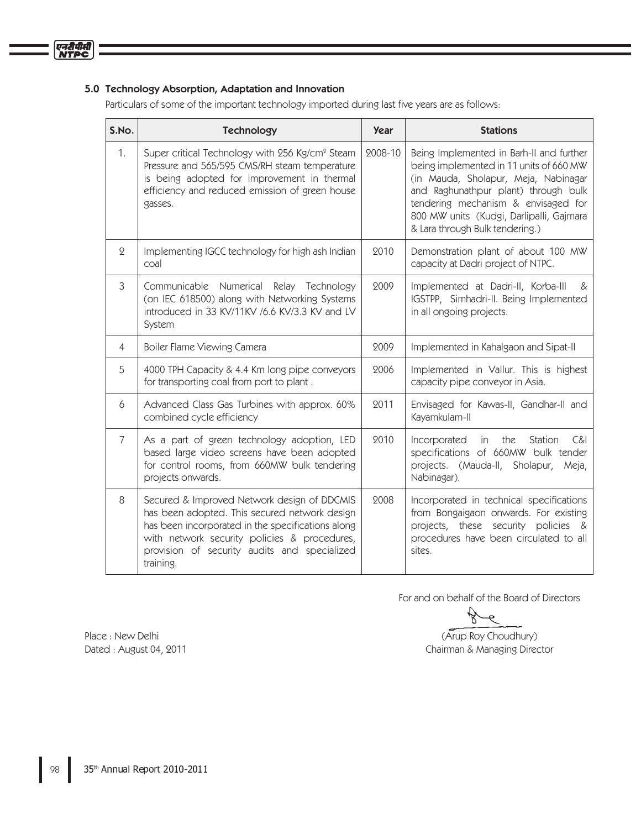## 5.0 Technology Absorption, Adaptation and Innovation

Particulars of some of the important technology imported during last five years are as follows:

| S.No.          | <b>Technology</b>                                                                                                                                                                                                                                              | <b>Year</b> | <b>Stations</b>                                                                                                                                                                                                                                                                           |
|----------------|----------------------------------------------------------------------------------------------------------------------------------------------------------------------------------------------------------------------------------------------------------------|-------------|-------------------------------------------------------------------------------------------------------------------------------------------------------------------------------------------------------------------------------------------------------------------------------------------|
| 1.             | Super critical Technology with 256 Kg/cm <sup>2</sup> Steam<br>Pressure and 565/595 CMS/RH steam temperature<br>is being adopted for improvement in thermal<br>efficiency and reduced emission of green house<br>gasses.                                       | 2008-10     | Being Implemented in Barh-II and further<br>being implemented in 11 units of 660 MW<br>(in Mauda, Sholapur, Meja, Nabinagar<br>and Raghunathpur plant) through bulk<br>tendering mechanism & envisaged for<br>800 MW units (Kudgi, Darlipalli, Gajmara<br>& Lara through Bulk tendering.) |
| $\Omega$       | Implementing IGCC technology for high ash Indian<br>coal                                                                                                                                                                                                       | 2010        | Demonstration plant of about 100 MW<br>capacity at Dadri project of NTPC.                                                                                                                                                                                                                 |
| 3              | Communicable<br>Numerical<br>Relay Technology<br>(on IEC 618500) along with Networking Systems<br>introduced in 33 KV/11KV /6.6 KV/3.3 KV and LV<br>System                                                                                                     | 2009        | Implemented at Dadri-II, Korba-III<br>&<br>IGSTPP, Simhadri-II. Being Implemented<br>in all ongoing projects.                                                                                                                                                                             |
| $\overline{4}$ | Boiler Flame Viewing Camera                                                                                                                                                                                                                                    | 2009        | Implemented in Kahalgaon and Sipat-II                                                                                                                                                                                                                                                     |
| 5              | 4000 TPH Capacity & 4.4 Km long pipe conveyors<br>for transporting coal from port to plant.                                                                                                                                                                    | 2006        | Implemented in Vallur. This is highest<br>capacity pipe conveyor in Asia.                                                                                                                                                                                                                 |
| 6              | Advanced Class Gas Turbines with approx. 60%<br>combined cycle efficiency                                                                                                                                                                                      | 2011        | Envisaged for Kawas-II, Gandhar-II and<br>Kayamkulam-II                                                                                                                                                                                                                                   |
| 7              | As a part of green technology adoption, LED<br>based large video screens have been adopted<br>for control rooms, from 660MW bulk tendering<br>projects onwards.                                                                                                | 2010        | C&I<br>Incorporated<br>the<br>Station<br>$\mathsf{in}$<br>specifications of 660MW bulk tender<br>projects. (Mauda-II,<br>Sholapur,<br>Meja,<br>Nabinagar).                                                                                                                                |
| 8              | Secured & Improved Network design of DDCMIS<br>has been adopted. This secured network design<br>has been incorporated in the specifications along<br>with network security policies & procedures,<br>provision of security audits and specialized<br>training. | 2008        | Incorporated in technical specifications<br>from Bongaigaon onwards. For existing<br>projects, these security policies &<br>procedures have been circulated to all<br>sites.                                                                                                              |

For and on behalf of the Board of Directors

(Arup Roy Choudhury) Chairman & Managing Director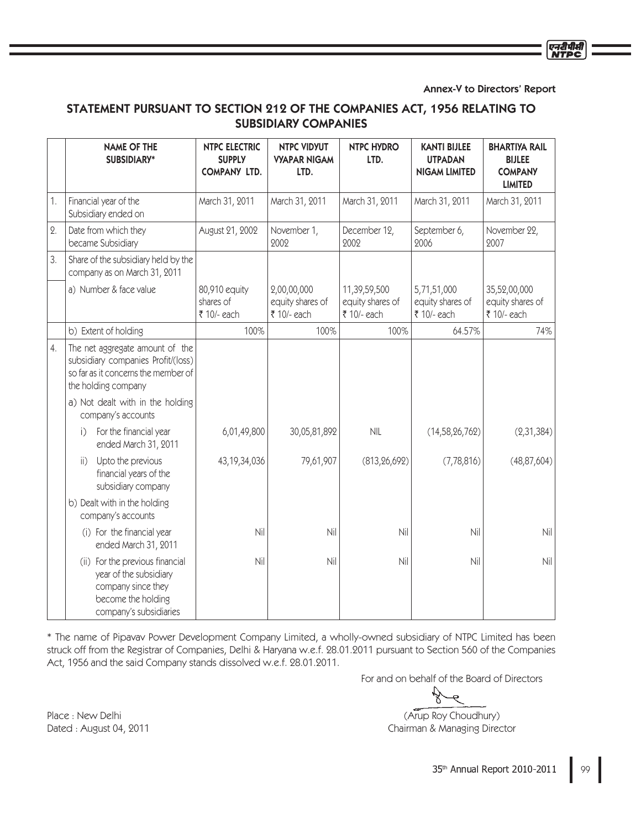Annex-V to Directors' Report

प्रदीपीय

# STATEMENT PURSUANT TO SECTION 212 OF THE COMPANIES ACT, 1956 RELATING TO **SUBSIDIARY COMPANIES**

|            |                 | <b>NAME OF THE</b><br>SUBSIDIARY*                                                                                                   | <b>NTPC ELECTRIC</b><br><b>SUPPLY</b><br><b>COMPANY LTD.</b> | <b>NTPC VIDYUT</b><br><b>VYAPAR NIGAM</b><br>LTD. | <b>NTPC HYDRO</b><br>LTD.                       | <b>KANTI BIJLEE</b><br><b>UTPADAN</b><br><b>NIGAM LIMITED</b> | <b>BHARTIYA RAIL</b><br><b>BIJLEE</b><br><b>COMPANY</b><br><b>LIMITED</b> |
|------------|-----------------|-------------------------------------------------------------------------------------------------------------------------------------|--------------------------------------------------------------|---------------------------------------------------|-------------------------------------------------|---------------------------------------------------------------|---------------------------------------------------------------------------|
| 1.         |                 | Financial year of the<br>Subsidiary ended on                                                                                        | March 31, 2011                                               | March 31, 2011                                    | March 31, 2011                                  | March 31, 2011                                                | March 31, 2011                                                            |
| $\Omega$ . |                 | Date from which they<br>became Subsidiary                                                                                           | August 21, 2002                                              | November 1,<br>2002                               | December 12,<br>2002                            | September 6,<br>2006                                          | November 22,<br>2007                                                      |
| 3.         |                 | Share of the subsidiary held by the<br>company as on March 31, 2011                                                                 |                                                              |                                                   |                                                 |                                                               |                                                                           |
|            |                 | a) Number & face value                                                                                                              | 80,910 equity<br>shares of<br>₹ 10/- each                    | 2,00,00,000<br>equity shares of<br>₹ 10/- each    | 11,39,59,500<br>equity shares of<br>₹ 10/- each | 5,71,51,000<br>equity shares of<br>₹ 10/- each                | 35,52,00,000<br>equity shares of<br>₹ 10/- each                           |
|            |                 | b) Extent of holding                                                                                                                | 100%                                                         | 100%                                              | 100%                                            | 64.57%                                                        | 74%                                                                       |
| 4.         |                 | The net aggregate amount of the<br>subsidiary companies Profit/(loss)<br>so far as it concerns the member of<br>the holding company |                                                              |                                                   |                                                 |                                                               |                                                                           |
|            |                 | a) Not dealt with in the holding<br>company's accounts                                                                              |                                                              |                                                   |                                                 |                                                               |                                                                           |
|            | i)              | For the financial year<br>ended March 31, 2011                                                                                      | 6,01,49,800                                                  | 30,05,81,892                                      | <b>NIL</b>                                      | (14, 58, 26, 762)                                             | (2, 31, 384)                                                              |
|            | $\mathsf{ii}$ ) | Upto the previous<br>financial years of the<br>subsidiary company                                                                   | 43, 19, 34, 036                                              | 79,61,907                                         | (813, 26, 692)                                  | (7, 78, 816)                                                  | (48, 87, 604)                                                             |
|            |                 | b) Dealt with in the holding<br>company's accounts                                                                                  |                                                              |                                                   |                                                 |                                                               |                                                                           |
|            |                 | (i) For the financial year<br>ended March 31, 2011                                                                                  | Nil                                                          | Nil                                               | Nil                                             | Nil                                                           | Nil                                                                       |
|            |                 | (ii) For the previous financial<br>year of the subsidiary<br>company since they<br>become the holding<br>company's subsidiaries     | Nil                                                          | Nil                                               | Nil                                             | Nil                                                           | Nil                                                                       |

\* The name of Pipavav Power Development Company Limited, a wholly-owned subsidiary of NTPC Limited has been struck off from the Registrar of Companies, Delhi & Haryana w.e.f. 28.01.2011 pursuant to Section 560 of the Companies Act, 1956 and the said Company stands dissolved w.e.f. 28.01.2011.

For and on behalf of the Board of Directors

(Arup Roy Choudhury) Chairman & Managing Director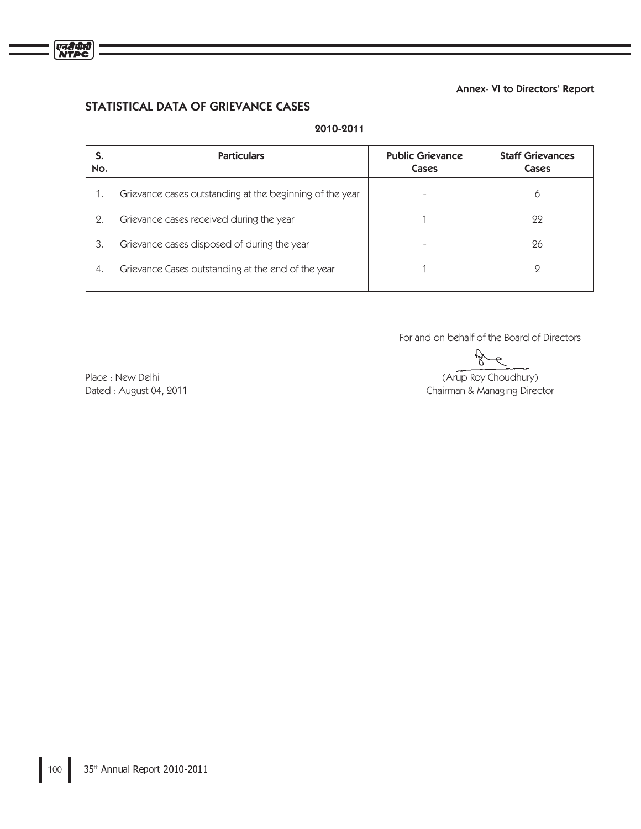## Annex- VI to Directors' Report

# STATISTICAL DATA OF GRIEVANCE CASES

| S.<br>No. | <b>Particulars</b>                                       | <b>Public Grievance</b><br>Cases | <b>Staff Grievances</b><br>Cases |
|-----------|----------------------------------------------------------|----------------------------------|----------------------------------|
|           | Grievance cases outstanding at the beginning of the year |                                  | 6                                |
| 2.        | Grievance cases received during the year                 |                                  | 22                               |
| 3.        | Grievance cases disposed of during the year              |                                  | 26                               |
| 4.        | Grievance Cases outstanding at the end of the year       |                                  | 9                                |
|           |                                                          |                                  |                                  |

# 2010-2011

For and on behalf of the Board of Directors

ř

(Arup Roy Choudhury) Chairman & Managing Director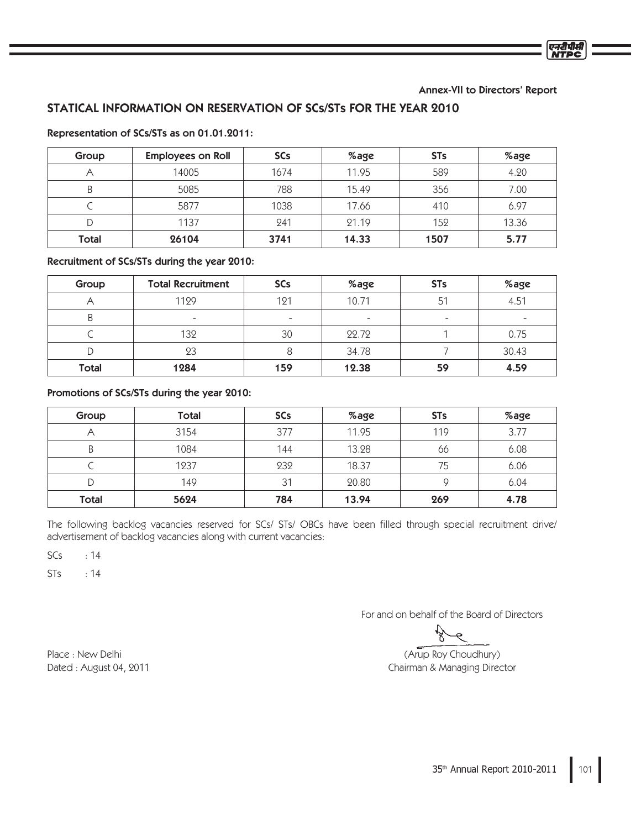Annex-VII to Directors' Report

# STATICAL INFORMATION ON RESERVATION OF SCs/STs FOR THE YEAR 2010

| Group | <b>Employees on Roll</b> | <b>SCs</b> | %age  | <b>STs</b> | %age  |
|-------|--------------------------|------------|-------|------------|-------|
|       | 14005                    | 1674       | 11.95 | 589        | 4.20  |
| B     | 5085                     | 788        | 15.49 | 356        | 7.00  |
|       | 5877                     | 1038       | 17.66 | 410        | 6.97  |
| D     | 1137                     | 241        | 21.19 | 152        | 13.36 |
| Total | 26104                    | 3741       | 14.33 | 1507       | 5.77  |

#### Representation of SCs/STs as on 01.01.2011:

Recruitment of SCs/STs during the year 2010:

| Group | <b>Total Recruitment</b> | <b>SCs</b>               | %age                     | <b>STs</b>               | %age  |
|-------|--------------------------|--------------------------|--------------------------|--------------------------|-------|
|       | 1129                     | 121                      | 10.71                    | 51                       | 4.51  |
| B     | $\overline{\phantom{0}}$ | $\overline{\phantom{0}}$ | $\overline{\phantom{a}}$ | $\overline{\phantom{a}}$ |       |
|       | 132                      | 30                       | 22.72                    |                          | 0.75  |
| D     | 23                       |                          | 34.78                    |                          | 30.43 |
| Total | 1284                     | 159                      | 12.38                    | 59                       | 4.59  |

Promotions of SCs/STs during the year 2010:

| Group        | <b>Total</b> | <b>SCs</b> | %age  | <b>STs</b> | %age |
|--------------|--------------|------------|-------|------------|------|
|              | 3154         | 377        | 11.95 | 119        | 3.77 |
| B            | 1084         | 144        | 13.28 | 66         | 6.08 |
|              | 1237         | 232        | 18.37 | 75         | 6.06 |
| D            | 149          | 31         | 20.80 |            | 6.04 |
| <b>Total</b> | 5624         | 784        | 13.94 | 269        | 4.78 |

The following backlog vacancies reserved for SCs/ STs/ OBCs have been filled through special recruitment drive/ advertisement of backlog vacancies along with current vacancies:

 $SCs$  : 14

 $STs$  : 14

For and on behalf of the Board of Directors

#### (Arup Roy Choudhury) Chairman & Managing Director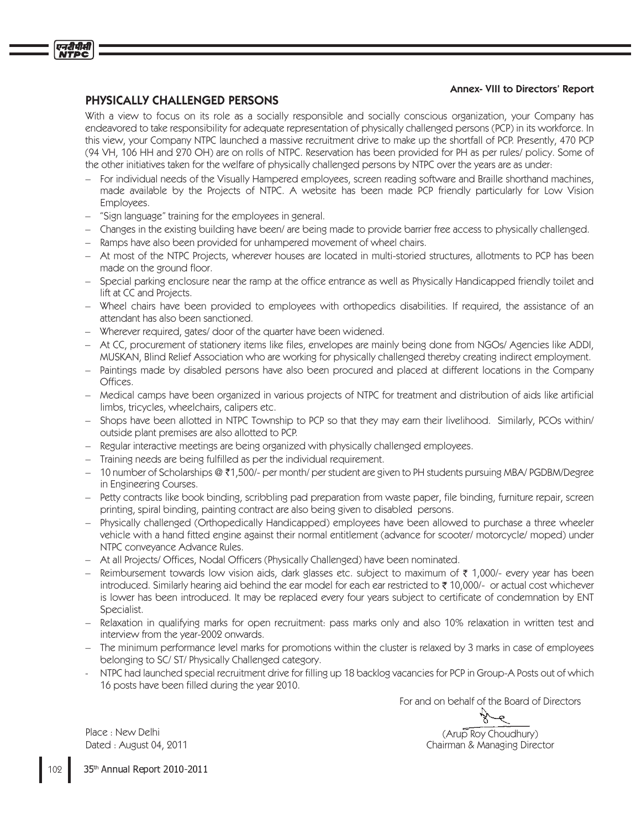# Annex- VIII to Directors' Report

# PHYSICALLY CHALLENGED PERSONS

एनटीपीसी

With a view to focus on its role as a socially responsible and socially conscious organization, your Company has endeavored to take responsibility for adequate representation of physically challenged persons (PCP) in its workforce. In this view, your Company NTPC launched a massive recruitment drive to make up the shortfall of PCP. Presently, 470 PCP (94 VH, 106 HH and 270 OH) are on rolls of NTPC. Reservation has been provided for PH as per rules/ policy. Some of the other initiatives taken for the welfare of physically challenged persons by NTPC over the years are as under:

- For individual needs of the Visually Hampered employees, screen reading software and Braille shorthand machines, made available by the Projects of NTPC. A website has been made PCP friendly particularly for Low Vision Employees.
- "Sign language" training for the employees in general.
- Changes in the existing building have been/ are being made to provide barrier free access to physically challenged.
- Ramps have also been provided for unhampered movement of wheel chairs.
- At most of the NTPC Projects, wherever houses are located in multi-storied structures, allotments to PCP has been made on the ground floor.
- Special parking enclosure near the ramp at the office entrance as well as Physically Handicapped friendly toilet and lift at CC and Projects.
- Wheel chairs have been provided to employees with orthopedics disabilities. If required, the assistance of an attendant has also been sanctioned.
- Wherever required, gates/door of the quarter have been widened.
- At CC, procurement of stationery items like files, envelopes are mainly being done from NGOs/ Agencies like ADDI, MUSKAN, Blind Relief Association who are working for physically challenged thereby creating indirect employment.
- Paintings made by disabled persons have also been procured and placed at different locations in the Company Offices.
- Medical camps have been organized in various projects of NTPC for treatment and distribution of aids like artificial limbs, tricycles, wheelchairs, calipers etc.
- Shops have been allotted in NTPC Township to PCP so that they may earn their livelihood. Similarly, PCOs within/ outside plant premises are also allotted to PCP.
- Regular interactive meetings are being organized with physically challenged employees.
- Training needs are being fulfilled as per the individual requirement.
- 10 number of Scholarships @ ₹1,500/- per month/ per student are given to PH students pursuing MBA/ PGDBM/Degree in Engineering Courses.
- Petty contracts like book binding, scribbling pad preparation from waste paper, file binding, furniture repair, screen  $\equiv$ printing, spiral binding, painting contract are also being given to disabled persons.
- Physically challenged (Orthopedically Handicapped) employees have been allowed to purchase a three wheeler vehicle with a hand fitted engine against their normal entitlement (advance for scooter/ motorcycle/ moped) under NTPC conveyance Advance Rules.
- At all Projects/ Offices, Nodal Officers (Physically Challenged) have been nominated.
- Reimbursement towards low vision aids, dark glasses etc. subject to maximum of ₹ 1,000/- every year has been introduced. Similarly hearing aid behind the ear model for each ear restricted to ₹ 10,000/- or actual cost whichever is lower has been introduced. It may be replaced every four years subject to certificate of condemnation by ENT Specialist.
- Relaxation in qualifying marks for open recruitment: pass marks only and also 10% relaxation in written test and interview from the year-2002 onwards.
- The minimum performance level marks for promotions within the cluster is relaxed by 3 marks in case of employees belonging to SC/ST/Physically Challenged category.
- NTPC had launched special recruitment drive for filling up 18 backlog vacancies for PCP in Group-A Posts out of which 16 posts have been filled during the year 2010.

For and on behalf of the Board of Directors

۵ (Arup Roy Choudhury)

Chairman & Managing Director

Place: New Delhi Dated: August 04, 2011

109 35th Annual Report 2010-2011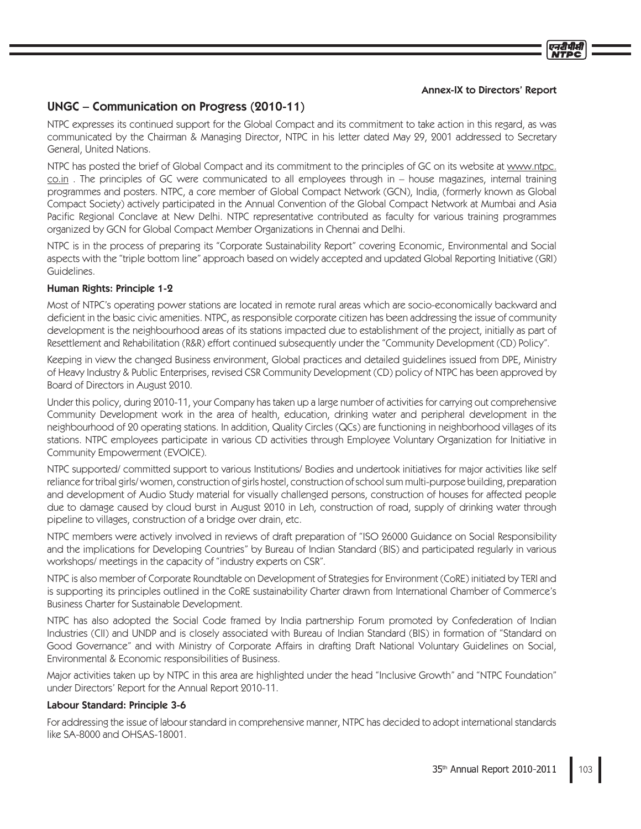#### Annex-IX to Directors' Report

# UNGC - Communication on Progress (2010-11)

NTPC expresses its continued support for the Global Compact and its commitment to take action in this regard, as was communicated by the Chairman & Managing Director, NTPC in his letter dated May 29, 2001 addressed to Secretary General, United Nations.

NTPC has posted the brief of Global Compact and its commitment to the principles of GC on its website at www.ntpc.  $\overline{\text{co.in}}$ . The principles of GC were communicated to all employees through in – house magazines, internal training programmes and posters. NTPC, a core member of Global Compact Network (GCN), India, (formerly known as Global Compact Society) actively participated in the Annual Convention of the Global Compact Network at Mumbai and Asia Pacific Regional Conclave at New Delhi. NTPC representative contributed as faculty for various training programmes organized by GCN for Global Compact Member Organizations in Chennai and Delhi.

NTPC is in the process of preparing its "Corporate Sustainability Report" covering Economic, Environmental and Social aspects with the "triple bottom line" approach based on widely accepted and updated Global Reporting Initiative (GRI) Guidelines.

# Human Rights: Principle 1-2

Most of NTPC's operating power stations are located in remote rural areas which are socio-economically backward and deficient in the basic civic amenities. NTPC, as responsible corporate citizen has been addressing the issue of community development is the neighbourhood areas of its stations impacted due to establishment of the project, initially as part of Resettlement and Rehabilitation (R&R) effort continued subsequently under the "Community Development (CD) Policy".

Keeping in view the changed Business environment, Global practices and detailed guidelines issued from DPE, Ministry of Heavy Industry & Public Enterprises, revised CSR Community Development (CD) policy of NTPC has been approved by Board of Directors in August 2010.

Under this policy, during 2010-11, your Company has taken up a large number of activities for carrying out comprehensive Community Development work in the area of health, education, drinking water and peripheral development in the neighbourhood of 20 operating stations. In addition, Quality Circles (QCs) are functioning in neighborhood villages of its stations. NTPC employees participate in various CD activities through Employee Voluntary Organization for Initiative in Community Empowerment (EVOICE).

NTPC supported/committed support to various Institutions/Bodies and undertook initiatives for major activities like self reliance for tribal girls/women, construction of girls hostel, construction of school sum multi-purpose building, preparation and development of Audio Study material for visually challenged persons, construction of houses for affected people due to damage caused by cloud burst in August 2010 in Leh, construction of road, supply of drinking water through pipeline to villages, construction of a bridge over drain, etc.

NTPC members were actively involved in reviews of draft preparation of "ISO 26000 Guidance on Social Responsibility and the implications for Developing Countries" by Bureau of Indian Standard (BIS) and participated regularly in various workshops/ meetings in the capacity of "industry experts on CSR".

NTPC is also member of Corporate Roundtable on Development of Strategies for Environment (CoRE) initiated by TERI and is supporting its principles outlined in the CoRE sustainability Charter drawn from International Chamber of Commerce's Business Charter for Sustainable Development.

NTPC has also adopted the Social Code framed by India partnership Forum promoted by Confederation of Indian Industries (CII) and UNDP and is closely associated with Bureau of Indian Standard (BIS) in formation of "Standard on Good Governance" and with Ministry of Corporate Affairs in drafting Draft National Voluntary Guidelines on Social, Environmental & Economic responsibilities of Business.

Major activities taken up by NTPC in this area are highlighted under the head "Inclusive Growth" and "NTPC Foundation" under Directors' Report for the Annual Report 2010-11.

# Labour Standard: Principle 3-6

For addressing the issue of labour standard in comprehensive manner, NTPC has decided to adopt international standards like SA-8000 and OHSAS-18001.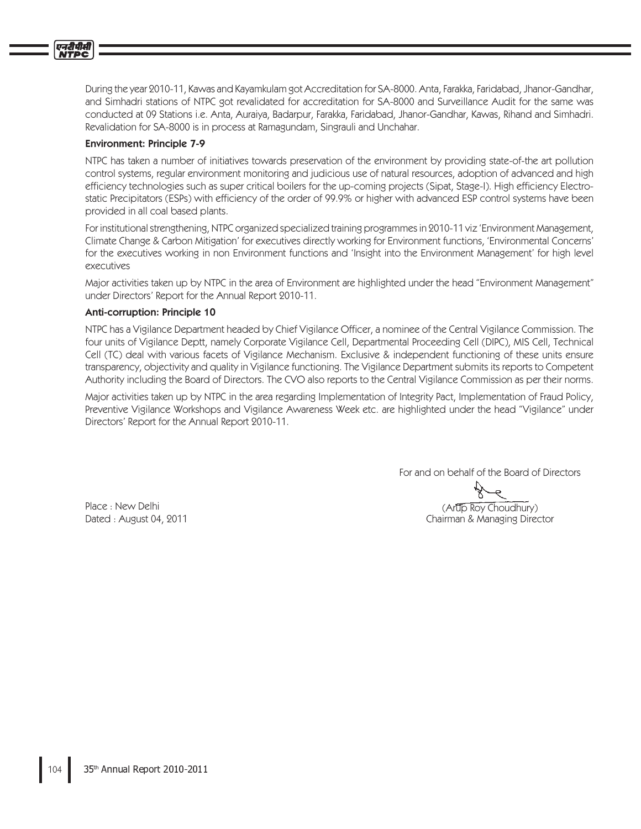

During the year 2010-11, Kawas and Kayamkulam got Accreditation for SA-8000. Anta, Farakka, Faridabad, Jhanor-Gandhar, and Simhadri stations of NTPC got revalidated for accreditation for SA-8000 and Surveillance Audit for the same was conducted at 09 Stations i.e. Anta, Auraiya, Badarpur, Farakka, Faridabad, Jhanor-Gandhar, Kawas, Rihand and Simhadri. Revalidation for SA-8000 is in process at Ramagundam, Singrauli and Unchahar.

### **Environment: Principle 7-9**

NTPC has taken a number of initiatives towards preservation of the environment by providing state-of-the art pollution control systems, regular environment monitoring and judicious use of natural resources, adoption of advanced and high efficiency technologies such as super critical boilers for the up-coming projects (Sipat, Stage-I). High efficiency Electrostatic Precipitators (ESPs) with efficiency of the order of 99.9% or higher with advanced ESP control systems have been provided in all coal based plants.

For institutional strengthening, NTPC organized specialized training programmes in 2010-11 viz 'Environment Management, Climate Change & Carbon Mitigation' for executives directly working for Environment functions, 'Environmental Concerns' for the executives working in non Environment functions and 'Insight into the Environment Management' for high level executives

Major activities taken up by NTPC in the area of Environment are highlighted under the head "Environment Management" under Directors' Report for the Annual Report 2010-11.

#### Anti-corruption: Principle 10

NTPC has a Vigilance Department headed by Chief Vigilance Officer, a nominee of the Central Vigilance Commission. The four units of Vigilance Deptt, namely Corporate Vigilance Cell, Departmental Proceeding Cell (DIPC), MIS Cell, Technical Cell (TC) deal with various facets of Vigilance Mechanism. Exclusive & independent functioning of these units ensure transparency, objectivity and quality in Vigilance functioning. The Vigilance Department submits its reports to Competent Authority including the Board of Directors. The CVO also reports to the Central Vigilance Commission as per their norms.

Major activities taken up by NTPC in the area regarding Implementation of Integrity Pact, Implementation of Fraud Policy, Preventive Vigilance Workshops and Vigilance Awareness Week etc. are highlighted under the head "Vigilance" under Directors' Report for the Annual Report 2010-11.

For and on behalf of the Board of Directors

Place: New Delhi Dated: August 04, 2011

(Artip Roy Choudhury) Chairman & Managing Director